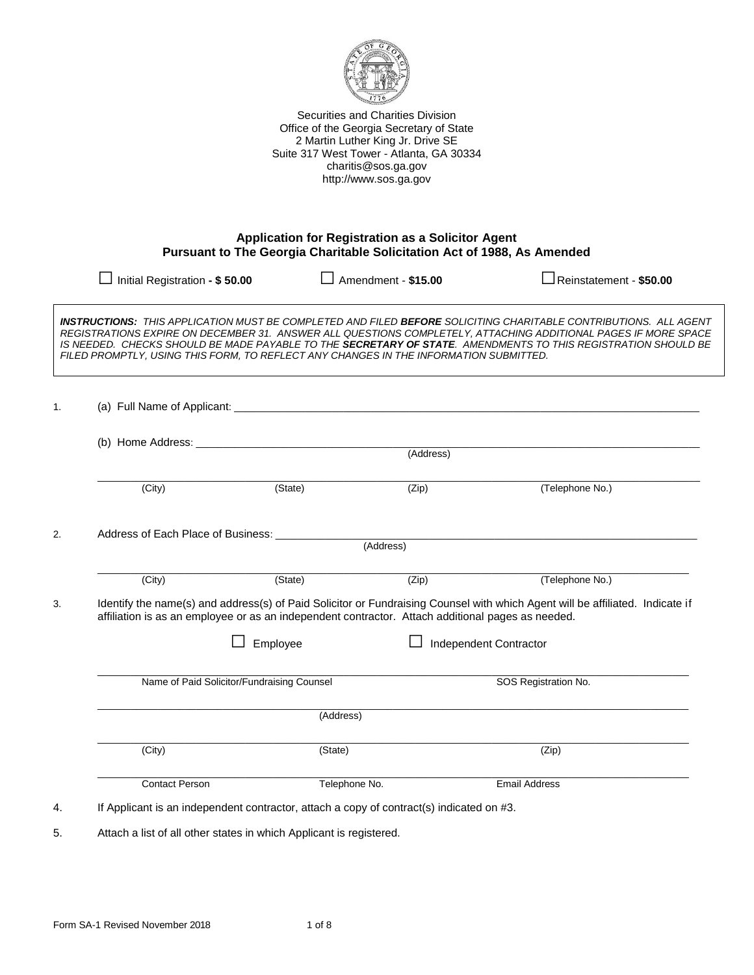

Securities and Charities Division Office of the Georgia Secretary of State 2 Martin Luther King Jr. Drive SE Suite 317 West Tower - Atlanta, GA 30334 charitis@sos.ga.gov http://www.sos.ga.gov

#### **Application for Registration as a Solicitor Agent Pursuant to The Georgia Charitable Solicitation Act of 1988, As Amended**

|    | Initial Registration - \$50.00                                                                                                                                                                                                     |               | Amendment - \$15.00  | $\sqrt{\phantom{a}}$ Reinstatement - \$50.00                                                                                                                                                                                                                                                                                                               |  |  |  |
|----|------------------------------------------------------------------------------------------------------------------------------------------------------------------------------------------------------------------------------------|---------------|----------------------|------------------------------------------------------------------------------------------------------------------------------------------------------------------------------------------------------------------------------------------------------------------------------------------------------------------------------------------------------------|--|--|--|
|    | FILED PROMPTLY, USING THIS FORM, TO REFLECT ANY CHANGES IN THE INFORMATION SUBMITTED.                                                                                                                                              |               |                      | <b>INSTRUCTIONS:</b> THIS APPLICATION MUST BE COMPLETED AND FILED BEFORE SOLICITING CHARITABLE CONTRIBUTIONS. ALL AGENT<br>REGISTRATIONS EXPIRE ON DECEMBER 31. ANSWER ALL QUESTIONS COMPLETELY, ATTACHING ADDITIONAL PAGES IF MORE SPACE<br>IS NEEDED. CHECKS SHOULD BE MADE PAYABLE TO THE SECRETARY OF STATE. AMENDMENTS TO THIS REGISTRATION SHOULD BE |  |  |  |
| 1. |                                                                                                                                                                                                                                    |               |                      |                                                                                                                                                                                                                                                                                                                                                            |  |  |  |
|    | (Address)                                                                                                                                                                                                                          |               |                      |                                                                                                                                                                                                                                                                                                                                                            |  |  |  |
|    | (City)                                                                                                                                                                                                                             | (State)       | (Zip)                | (Telephone No.)                                                                                                                                                                                                                                                                                                                                            |  |  |  |
| 2. | Address of Each Place of Business: _____________<br>(Address)                                                                                                                                                                      |               |                      |                                                                                                                                                                                                                                                                                                                                                            |  |  |  |
|    | (City)                                                                                                                                                                                                                             | (State)       | (Zip)                | (Telephone No.)                                                                                                                                                                                                                                                                                                                                            |  |  |  |
| 3. | Identify the name(s) and address(s) of Paid Solicitor or Fundraising Counsel with which Agent will be affiliated. Indicate if<br>affiliation is as an employee or as an independent contractor. Attach additional pages as needed. |               |                      |                                                                                                                                                                                                                                                                                                                                                            |  |  |  |
|    |                                                                                                                                                                                                                                    | Employee      |                      | <b>Independent Contractor</b>                                                                                                                                                                                                                                                                                                                              |  |  |  |
|    | Name of Paid Solicitor/Fundraising Counsel                                                                                                                                                                                         |               | SOS Registration No. |                                                                                                                                                                                                                                                                                                                                                            |  |  |  |
|    | (Address)                                                                                                                                                                                                                          |               |                      |                                                                                                                                                                                                                                                                                                                                                            |  |  |  |
|    | (City)                                                                                                                                                                                                                             | (State)       |                      | (Zip)                                                                                                                                                                                                                                                                                                                                                      |  |  |  |
|    | <b>Contact Person</b>                                                                                                                                                                                                              | Telephone No. |                      | <b>Email Address</b>                                                                                                                                                                                                                                                                                                                                       |  |  |  |
| 4. | If Applicant is an independent contractor, attach a copy of contract(s) indicated on #3.                                                                                                                                           |               |                      |                                                                                                                                                                                                                                                                                                                                                            |  |  |  |

5. Attach a list of all other states in which Applicant is registered.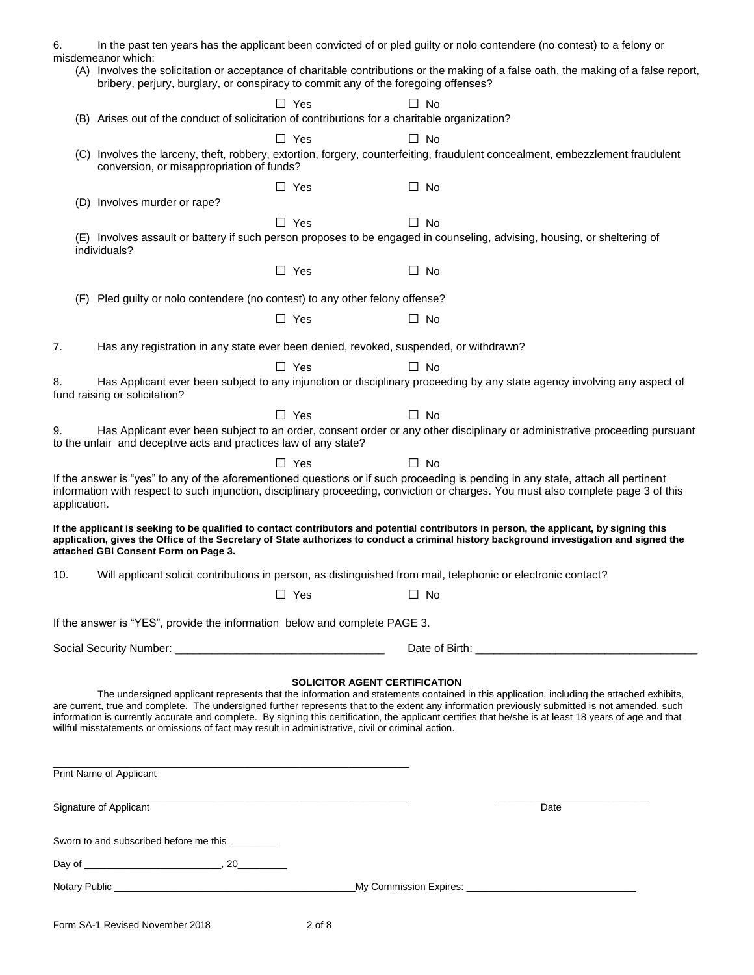|                                                                                                                                          | Sworn to and subscribed before me this _________                                                                                                                                                                               |            |                                                                                                                                                                                                                                                                                                                                                                                                                                                                                                |  |  |  |
|------------------------------------------------------------------------------------------------------------------------------------------|--------------------------------------------------------------------------------------------------------------------------------------------------------------------------------------------------------------------------------|------------|------------------------------------------------------------------------------------------------------------------------------------------------------------------------------------------------------------------------------------------------------------------------------------------------------------------------------------------------------------------------------------------------------------------------------------------------------------------------------------------------|--|--|--|
|                                                                                                                                          | Signature of Applicant                                                                                                                                                                                                         |            | Date                                                                                                                                                                                                                                                                                                                                                                                                                                                                                           |  |  |  |
|                                                                                                                                          | Print Name of Applicant                                                                                                                                                                                                        |            |                                                                                                                                                                                                                                                                                                                                                                                                                                                                                                |  |  |  |
|                                                                                                                                          | willful misstatements or omissions of fact may result in administrative, civil or criminal action.                                                                                                                             |            | <b>SOLICITOR AGENT CERTIFICATION</b><br>The undersigned applicant represents that the information and statements contained in this application, including the attached exhibits,<br>are current, true and complete. The undersigned further represents that to the extent any information previously submitted is not amended, such<br>information is currently accurate and complete. By signing this certification, the applicant certifies that he/she is at least 18 years of age and that |  |  |  |
|                                                                                                                                          | Social Security Number: Cambridge Contract Contract Contract Contract Contract Contract Contract Contract Contract Contract Contract Contract Contract Contract Contract Contract Contract Contract Contract Contract Contract |            |                                                                                                                                                                                                                                                                                                                                                                                                                                                                                                |  |  |  |
|                                                                                                                                          | If the answer is "YES", provide the information below and complete PAGE 3.                                                                                                                                                     |            |                                                                                                                                                                                                                                                                                                                                                                                                                                                                                                |  |  |  |
| 10.                                                                                                                                      |                                                                                                                                                                                                                                | $\Box$ Yes | Will applicant solicit contributions in person, as distinguished from mail, telephonic or electronic contact?<br>$\Box$ No                                                                                                                                                                                                                                                                                                                                                                     |  |  |  |
|                                                                                                                                          | attached GBI Consent Form on Page 3.                                                                                                                                                                                           |            | If the applicant is seeking to be qualified to contact contributors and potential contributors in person, the applicant, by signing this<br>application, gives the Office of the Secretary of State authorizes to conduct a criminal history background investigation and signed the                                                                                                                                                                                                           |  |  |  |
| application.                                                                                                                             |                                                                                                                                                                                                                                |            | If the answer is "yes" to any of the aforementioned questions or if such proceeding is pending in any state, attach all pertinent<br>information with respect to such injunction, disciplinary proceeding, conviction or charges. You must also complete page 3 of this                                                                                                                                                                                                                        |  |  |  |
|                                                                                                                                          | to the unfair and deceptive acts and practices law of any state?                                                                                                                                                               | $\Box$ Yes | $\Box$ No                                                                                                                                                                                                                                                                                                                                                                                                                                                                                      |  |  |  |
| 9.                                                                                                                                       |                                                                                                                                                                                                                                | $\Box$ Yes | $\Box$ No<br>Has Applicant ever been subject to an order, consent order or any other disciplinary or administrative proceeding pursuant                                                                                                                                                                                                                                                                                                                                                        |  |  |  |
| 8.                                                                                                                                       | fund raising or solicitation?                                                                                                                                                                                                  |            | Has Applicant ever been subject to any injunction or disciplinary proceeding by any state agency involving any aspect of                                                                                                                                                                                                                                                                                                                                                                       |  |  |  |
|                                                                                                                                          |                                                                                                                                                                                                                                | $\Box$ Yes | $\Box$ No                                                                                                                                                                                                                                                                                                                                                                                                                                                                                      |  |  |  |
| 7.                                                                                                                                       |                                                                                                                                                                                                                                |            | Has any registration in any state ever been denied, revoked, suspended, or withdrawn?                                                                                                                                                                                                                                                                                                                                                                                                          |  |  |  |
|                                                                                                                                          |                                                                                                                                                                                                                                | $\Box$ Yes | $\Box$ No                                                                                                                                                                                                                                                                                                                                                                                                                                                                                      |  |  |  |
| (F)                                                                                                                                      | Pled guilty or nolo contendere (no contest) to any other felony offense?                                                                                                                                                       |            |                                                                                                                                                                                                                                                                                                                                                                                                                                                                                                |  |  |  |
|                                                                                                                                          |                                                                                                                                                                                                                                | $\Box$ Yes | $\Box$ No                                                                                                                                                                                                                                                                                                                                                                                                                                                                                      |  |  |  |
| (E) Involves assault or battery if such person proposes to be engaged in counseling, advising, housing, or sheltering of<br>individuals? |                                                                                                                                                                                                                                |            |                                                                                                                                                                                                                                                                                                                                                                                                                                                                                                |  |  |  |
|                                                                                                                                          |                                                                                                                                                                                                                                | $\Box$ Yes | $\Box$<br><b>No</b>                                                                                                                                                                                                                                                                                                                                                                                                                                                                            |  |  |  |
|                                                                                                                                          | (D) Involves murder or rape?                                                                                                                                                                                                   | $\Box$ Yes | $\Box$ No                                                                                                                                                                                                                                                                                                                                                                                                                                                                                      |  |  |  |
|                                                                                                                                          | conversion, or misappropriation of funds?                                                                                                                                                                                      |            | (C) Involves the larceny, theft, robbery, extortion, forgery, counterfeiting, fraudulent concealment, embezzlement fraudulent                                                                                                                                                                                                                                                                                                                                                                  |  |  |  |
|                                                                                                                                          |                                                                                                                                                                                                                                | $\Box$ Yes | $\Box$ No                                                                                                                                                                                                                                                                                                                                                                                                                                                                                      |  |  |  |
|                                                                                                                                          | (B) Arises out of the conduct of solicitation of contributions for a charitable organization?                                                                                                                                  |            |                                                                                                                                                                                                                                                                                                                                                                                                                                                                                                |  |  |  |
|                                                                                                                                          | bribery, perjury, burglary, or conspiracy to commit any of the foregoing offenses?                                                                                                                                             | $\Box$ Yes | $\Box$ No                                                                                                                                                                                                                                                                                                                                                                                                                                                                                      |  |  |  |
|                                                                                                                                          | misdemeanor which:                                                                                                                                                                                                             |            | (A) Involves the solicitation or acceptance of charitable contributions or the making of a false oath, the making of a false report,                                                                                                                                                                                                                                                                                                                                                           |  |  |  |
| 6.                                                                                                                                       |                                                                                                                                                                                                                                |            | In the past ten years has the applicant been convicted of or pled guilty or nolo contendere (no contest) to a felony or                                                                                                                                                                                                                                                                                                                                                                        |  |  |  |

| Form SA-1 Revised November 2018 | 2 of 8 |
|---------------------------------|--------|
|                                 |        |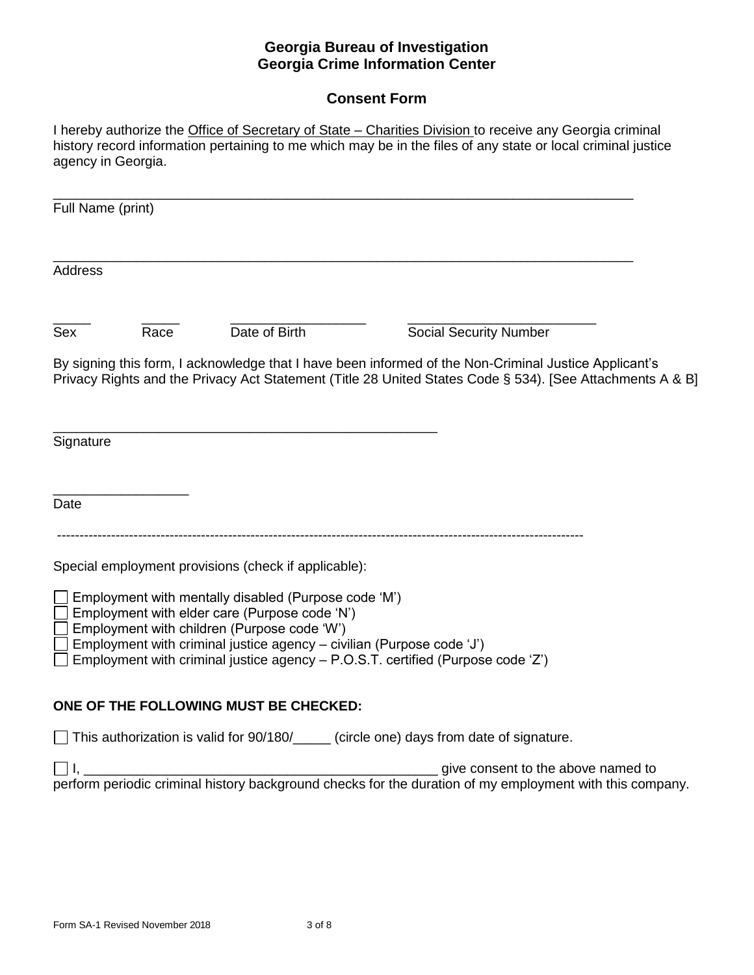### **Georgia Bureau of Investigation Georgia Crime Information Center**

# **Consent Form**

I hereby authorize the Office of Secretary of State – Charities Division to receive any Georgia criminal history record information pertaining to me which may be in the files of any state or local criminal justice agency in Georgia.

\_\_\_\_\_\_\_\_\_\_\_\_\_\_\_\_\_\_\_\_\_\_\_\_\_\_\_\_\_\_\_\_\_\_\_\_\_\_\_\_\_\_\_\_\_\_\_\_\_\_\_\_\_\_\_\_\_\_\_\_\_\_\_\_\_\_\_\_\_\_\_\_\_\_\_\_\_ Full Name (print) \_\_\_\_\_\_\_\_\_\_\_\_\_\_\_\_\_\_\_\_\_\_\_\_\_\_\_\_\_\_\_\_\_\_\_\_\_\_\_\_\_\_\_\_\_\_\_\_\_\_\_\_\_\_\_\_\_\_\_\_\_\_\_\_\_\_\_\_\_\_\_\_\_\_\_\_\_ Address \_\_\_\_\_ \_\_\_\_\_ \_\_\_\_\_\_\_\_\_\_\_\_\_\_\_\_\_\_ \_\_\_\_\_\_\_\_\_\_\_\_\_\_\_\_\_\_\_\_\_\_\_\_\_ Sex Race Date of Birth Social Security Number By signing this form, I acknowledge that I have been informed of the Non-Criminal Justice Applicant's Privacy Rights and the Privacy Act Statement (Title 28 United States Code § 534). [See Attachments A & B] \_\_\_\_\_\_\_\_\_\_\_\_\_\_\_\_\_\_\_\_\_\_\_\_\_\_\_\_\_\_\_\_\_\_\_\_\_\_\_\_\_\_\_\_\_\_\_\_\_\_\_ **Signature** \_\_\_\_\_\_\_\_\_\_\_\_\_\_\_\_\_\_ Date --------------------------------------------------------------------------------------------------------------------- Special employment provisions (check if applicable):  $\Box$  Employment with mentally disabled (Purpose code 'M')  $\Box$  Employment with elder care (Purpose code 'N')  $\Box$  Employment with children (Purpose code 'W')  $\Box$  Employment with criminal justice agency – civilian (Purpose code 'J')  $\Box$  Employment with criminal justice agency  $-$  P.O.S.T. certified (Purpose code 'Z') **ONE OF THE FOLLOWING MUST BE CHECKED:** This authorization is valid for 90/180/\_\_\_\_ (circle one) days from date of signature. I, \_\_\_\_\_\_\_\_\_\_\_\_\_\_\_\_\_\_\_\_\_\_\_\_\_\_\_\_\_\_\_\_\_\_\_\_\_\_\_\_\_\_\_\_\_\_\_ give consent to the above named to perform periodic criminal history background checks for the duration of my employment with this company.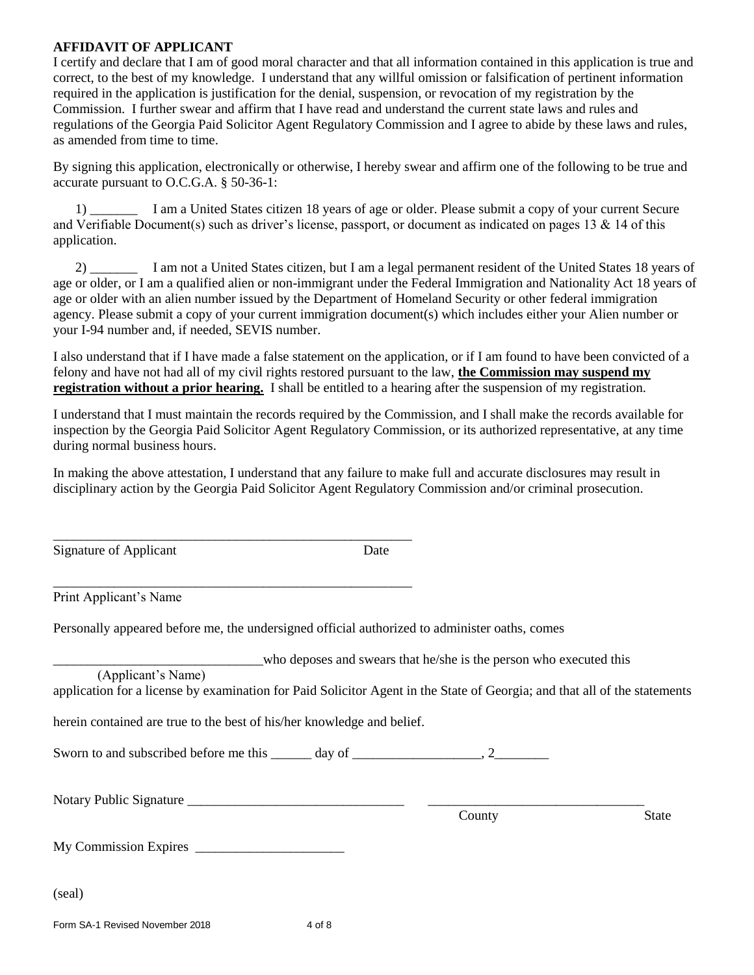#### **AFFIDAVIT OF APPLICANT**

I certify and declare that I am of good moral character and that all information contained in this application is true and correct, to the best of my knowledge. I understand that any willful omission or falsification of pertinent information required in the application is justification for the denial, suspension, or revocation of my registration by the Commission. I further swear and affirm that I have read and understand the current state laws and rules and regulations of the Georgia Paid Solicitor Agent Regulatory Commission and I agree to abide by these laws and rules, as amended from time to time.

By signing this application, electronically or otherwise, I hereby swear and affirm one of the following to be true and accurate pursuant to O.C.G.A. § 50-36-1:

1) \_\_\_\_\_\_\_ I am a United States citizen 18 years of age or older. Please submit a copy of your current Secure and Verifiable Document(s) such as driver's license, passport, or document as indicated on pages 13 & 14 of this application.

2) \_\_\_\_\_\_\_ I am not a United States citizen, but I am a legal permanent resident of the United States 18 years of age or older, or I am a qualified alien or non-immigrant under the Federal Immigration and Nationality Act 18 years of age or older with an alien number issued by the Department of Homeland Security or other federal immigration agency. Please submit a copy of your current immigration document(s) which includes either your Alien number or your I-94 number and, if needed, SEVIS number.

I also understand that if I have made a false statement on the application, or if I am found to have been convicted of a felony and have not had all of my civil rights restored pursuant to the law, **the Commission may suspend my registration without a prior hearing.** I shall be entitled to a hearing after the suspension of my registration.

I understand that I must maintain the records required by the Commission, and I shall make the records available for inspection by the Georgia Paid Solicitor Agent Regulatory Commission, or its authorized representative, at any time during normal business hours.

In making the above attestation, I understand that any failure to make full and accurate disclosures may result in disciplinary action by the Georgia Paid Solicitor Agent Regulatory Commission and/or criminal prosecution.

\_\_\_\_\_\_\_\_\_\_\_\_\_\_\_\_\_\_\_\_\_\_\_\_\_\_\_\_\_\_\_\_\_\_\_\_\_\_\_\_\_\_\_\_\_\_\_\_\_\_\_\_\_

| Signature of Applicant                                                                                                                                                                                                                                                                                                    | Date |                                                                    |              |
|---------------------------------------------------------------------------------------------------------------------------------------------------------------------------------------------------------------------------------------------------------------------------------------------------------------------------|------|--------------------------------------------------------------------|--------------|
| Print Applicant's Name                                                                                                                                                                                                                                                                                                    |      |                                                                    |              |
| Personally appeared before me, the undersigned official authorized to administer oaths, comes                                                                                                                                                                                                                             |      |                                                                    |              |
| (Applicant's Name)<br>application for a license by examination for Paid Solicitor Agent in the State of Georgia; and that all of the statements<br>herein contained are true to the best of his/her knowledge and belief.<br>Sworn to and subscribed before me this $\_\_\_\_$ day of $\_\_\_\_\_\_$ , 2 $\_\_\_\_\_$ , 2 |      | who deposes and swears that he/she is the person who executed this |              |
|                                                                                                                                                                                                                                                                                                                           |      | County                                                             | <b>State</b> |
|                                                                                                                                                                                                                                                                                                                           |      |                                                                    |              |
| (seal)                                                                                                                                                                                                                                                                                                                    |      |                                                                    |              |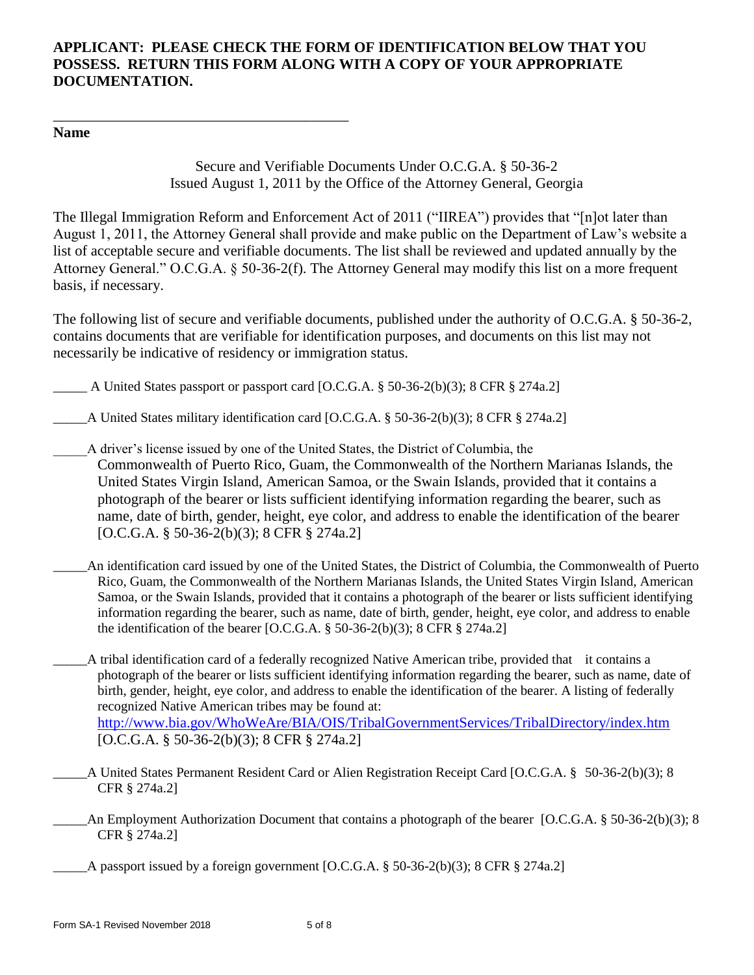# **APPLICANT: PLEASE CHECK THE FORM OF IDENTIFICATION BELOW THAT YOU POSSESS. RETURN THIS FORM ALONG WITH A COPY OF YOUR APPROPRIATE DOCUMENTATION.**

## **Name**

\_\_\_\_\_\_\_\_\_\_\_\_\_\_\_\_\_\_\_\_\_\_\_\_\_\_\_\_\_\_\_\_\_\_\_\_\_\_\_\_

Secure and Verifiable Documents Under O.C.G.A. § 50-36-2 Issued August 1, 2011 by the Office of the Attorney General, Georgia

The Illegal Immigration Reform and Enforcement Act of 2011 ("IIREA") provides that "[n]ot later than August 1, 2011, the Attorney General shall provide and make public on the Department of Law's website a list of acceptable secure and verifiable documents. The list shall be reviewed and updated annually by the Attorney General." O.C.G.A. § 50-36-2(f). The Attorney General may modify this list on a more frequent basis, if necessary.

The following list of secure and verifiable documents, published under the authority of O.C.G.A. § 50-36-2, contains documents that are verifiable for identification purposes, and documents on this list may not necessarily be indicative of residency or immigration status.

 $\Delta$  United States passport or passport card [O.C.G.A. § 50-36-2(b)(3); 8 CFR § 274a.2]

\_\_\_\_\_A United States military identification card [O.C.G.A. § 50-36-2(b)(3); 8 CFR § 274a.2]

- \_\_\_\_\_A driver's license issued by one of the United States, the District of Columbia, the Commonwealth of Puerto Rico, Guam, the Commonwealth of the Northern Marianas Islands, the United States Virgin Island, American Samoa, or the Swain Islands, provided that it contains a photograph of the bearer or lists sufficient identifying information regarding the bearer, such as name, date of birth, gender, height, eye color, and address to enable the identification of the bearer [O.C.G.A. § 50-36-2(b)(3); 8 CFR § 274a.2]
- \_\_\_\_\_An identification card issued by one of the United States, the District of Columbia, the Commonwealth of Puerto Rico, Guam, the Commonwealth of the Northern Marianas Islands, the United States Virgin Island, American Samoa, or the Swain Islands, provided that it contains a photograph of the bearer or lists sufficient identifying information regarding the bearer, such as name, date of birth, gender, height, eye color, and address to enable the identification of the bearer [O.C.G.A.  $\S$  50-36-2(b)(3); 8 CFR  $\S$  274a.2]
- \_\_\_\_\_A tribal identification card of a federally recognized Native American tribe, provided that it contains a photograph of the bearer or lists sufficient identifying information regarding the bearer, such as name, date of birth, gender, height, eye color, and address to enable the identification of the bearer. A listing of federally recognized Native American tribes may be found at: <http://www.bia.gov/WhoWeAre/BIA/OIS/TribalGovernmentServices/TribalDirectory/index.htm> [O.C.G.A. § 50-36-2(b)(3); 8 CFR § 274a.2]
- A United States Permanent Resident Card or Alien Registration Receipt Card [O.C.G.A. § 50-36-2(b)(3); 8 CFR § 274a.2]
- \_\_\_\_\_An Employment Authorization Document that contains a photograph of the bearer [O.C.G.A. § 50-36-2(b)(3); 8 CFR § 274a.2]

 $\Delta$  passport issued by a foreign government [O.C.G.A. § 50-36-2(b)(3); 8 CFR § 274a.2]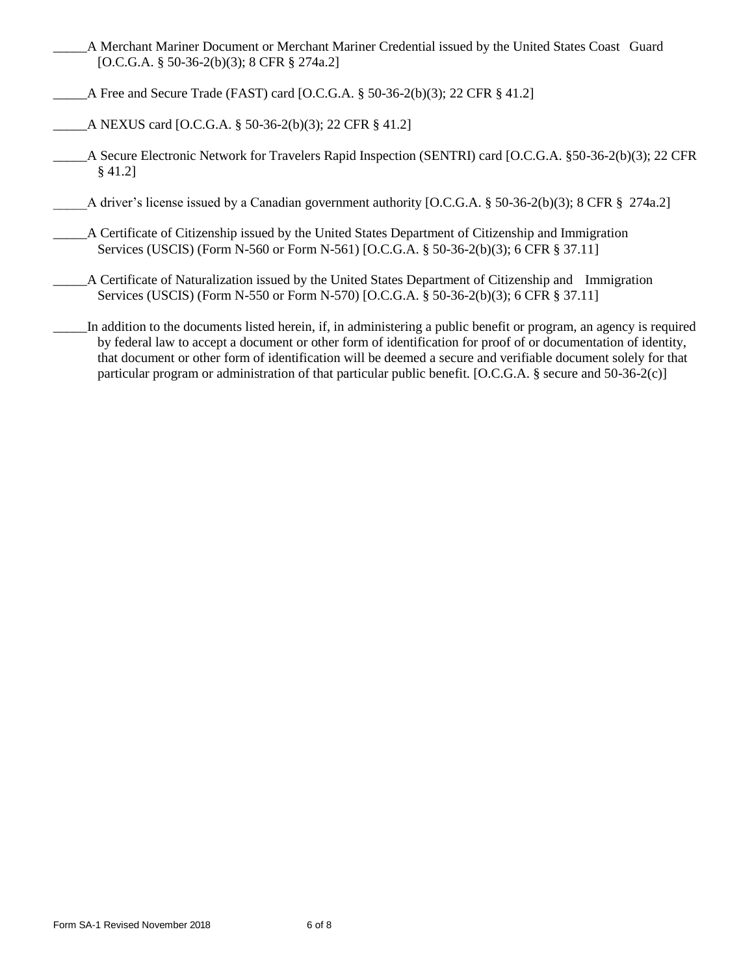- \_\_\_\_\_A Merchant Mariner Document or Merchant Mariner Credential issued by the United States Coast Guard [O.C.G.A. § 50-36-2(b)(3); 8 CFR § 274a.2]
- A Free and Secure Trade (FAST) card [O.C.G.A.  $\S$  50-36-2(b)(3); 22 CFR  $\S$  41.2]
- \_\_\_\_\_A NEXUS card [O.C.G.A. § 50-36-2(b)(3); 22 CFR § 41.2]
- \_\_\_\_\_A Secure Electronic Network for Travelers Rapid Inspection (SENTRI) card [O.C.G.A. §50-36-2(b)(3); 22 CFR § 41.2]
- A driver's license issued by a Canadian government authority [O.C.G.A. § 50-36-2(b)(3); 8 CFR § 274a.2]
- \_\_\_\_\_A Certificate of Citizenship issued by the United States Department of Citizenship and Immigration Services (USCIS) (Form N-560 or Form N-561) [O.C.G.A. § 50-36-2(b)(3); 6 CFR § 37.11]
	- \_\_\_\_\_A Certificate of Naturalization issued by the United States Department of Citizenship and Immigration Services (USCIS) (Form N-550 or Form N-570) [O.C.G.A. § 50-36-2(b)(3); 6 CFR § 37.11]
- In addition to the documents listed herein, if, in administering a public benefit or program, an agency is required by federal law to accept a document or other form of identification for proof of or documentation of identity, that document or other form of identification will be deemed a secure and verifiable document solely for that particular program or administration of that particular public benefit. [O.C.G.A. § secure and 50-36-2(c)]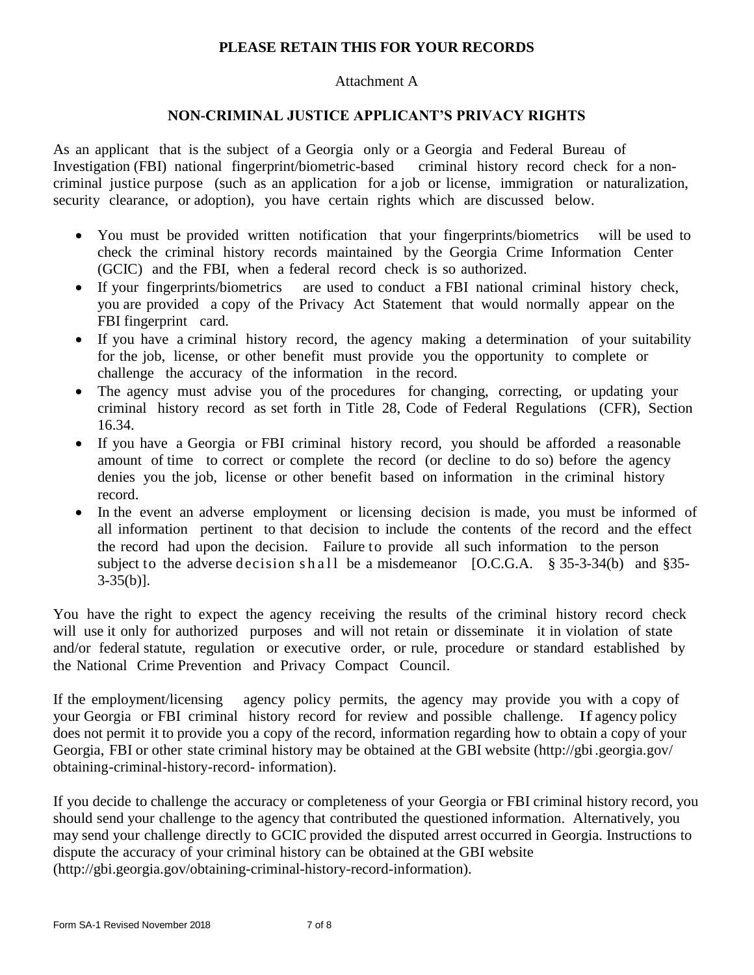## **PLEASE RETAIN THIS FOR YOUR RECORDS**

#### Attachment A

#### **NON-CRIMINAL JUSTICE APPLICANT'S PRIVACY RIGHTS**

As an applicant that is the subject of a Georgia only or a Georgia and Federal Bureau of Investigation (FBI) national fingerprint/biometric-based criminal history record check for a noncriminal justice purpose (such as an application for a job or license, immigration or naturalization, security clearance, or adoption), you have certain rights which are discussed below.

- You must be provided written notification that your fingerprints/biometrics will be used to check the criminal history records maintained by the Georgia Crime Information Center (GCIC) and the FBI, when a federal record check is so authorized.
- If your fingerprints/biometrics are used to conduct a FBI national criminal history check, you are provided a copy of the Privacy Act Statement that would normally appear on the FBI fingerprint card.
- If you have a criminal history record, the agency making a determination of your suitability for the job, license, or other benefit must provide you the opportunity to complete or challenge the accuracy of the information in the record.
- The agency must advise you of the procedures for changing, correcting, or updating your criminal history record as set forth in Title 28, Code of Federal Regulations (CFR), Section 16.34.
- If you have a Georgia or FBI criminal history record, you should be afforded a reasonable amount of time to correct or complete the record (or decline to do so) before the agency denies you the job, license or other benefit based on information in the criminal history record.
- In the event an adverse employment or licensing decision is made, you must be informed of all information pertinent to that decision to include the contents of the record and the effect the record had upon the decision. Failure to provide all such information to the person subject to the adverse decision s h all be a misdemeanor  $[O.C.G.A. \$ § 35-3-34(b) and §35- $3-35(b)$ ].

You have the right to expect the agency receiving the results of the criminal history record check will use it only for authorized purposes and will not retain or disseminate it in violation of state and/or federal statute, regulation or executive order, or rule, procedure or standard established by the National Crime Prevention and Privacy Compact Council.

If the employment/licensing agency policy permits, the agency may provide you with a copy of your Georgia or FBI criminal history record for review and possible challenge. If agency policy does not permit it to provide you a copy of the record, information regarding how to obtain a copy of your Georgia, FBI or other state criminal history may be obtained at the GBI website [\(http://gbi.](http://gbi/)georgia.gov/ obtaining-criminal-history-record- information).

If you decide to challenge the accuracy or completeness of your Georgia or FBI criminal history record, you should send your challenge to the agency that contributed the questioned information. Alternatively, you may send your challenge directly to GCIC provided the disputed arrest occurred in Georgia. Instructions to dispute the accuracy of your criminal history can be obtained at the GBI websit[e](http://gbi.georgia.gov/obtaining-criminal-history-record-information) [\(http://gbi.georgia.gov/obtaining-criminal-history-record-information\)](http://gbi.georgia.gov/obtaining-criminal-history-record-information).